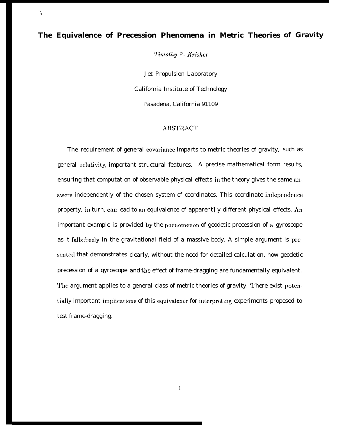# **The Equivalence of Precession Phenomena in Metric Theories of Gravity**

 $\mathbf{A}$ 

7'imothy P. Krisher

Jet Propulsion Laboratory California Institute of Technology Pasadena, California 91109

### **ABSTRACT**

The requirement of general covariancc imparts to metric theories of gravity, such as general rcdativity, important structural features. A precise mathematical form results, ensuring that computation of observable physical effects in the theory gives the same answers independently of the chosen system of coordinates. This coordinate independence property, in turn, can lead to an equivalence of apparent] y different physical effects. An important example is provided by the phenomenon of geodetic precession of a gyroscope as it falls freely in the gravitational field of a massive body. A simple argument is presented that demonstrates clearly, without the need for detailed calculation, how geodetic precession of a gyroscope and the effect of frame-dragging are fundamentally equivalent. The argument applies to a general class of metric theories of gravity. '1'here exist potentially important implications of this equivalence for interpreting experiments proposed to test frame-dragging.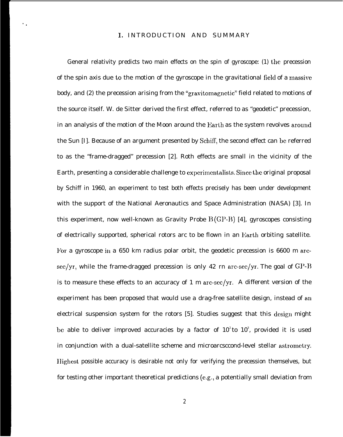## 1. INTRODUCTION AND SUMMARY

',

General relativity predicts two main effects on the spin of gyroscope: (1) the precession of the spin axis due to the motion of the gyroscope in the gravitational field of a massive body, and (2) the precession arising from the "gravitomagnetic" field related to motions of the source itself. W. de Sitter derived the first effect, referred to as "geodetic" precession, in an analysis of the motion of the Moon around the Earth as the system revolves around the Sun [I]. Because of an argument presented by Schiff, the second effect can be referred to as the "frame-dragged" precession [2]. Roth effects are small in the vicinity of the Earth, presenting a considerable challenge to experimentalists. Since the original proposal by Schiff in 1960, an experiment to test both effects precisely has been under development with the support of the National Aeronautics and Space Administration (NASA) [3]. In this experiment, now well-known as Gravity Probe  $B(GP-B)$  [4], gyroscopes consisting of electrically supported, spherical rotors arc to be flown in an Earth orbiting satellite. l'or a gyroscope in a 650 km radius polar orbit, the geodetic precession is 6600 m arcsec/yr, while the frame-dragged precession is only 42 rn arc-sec/yr. The goal of  $\text{GP-B}$ is to measure these effects to an accuracy of 1 m arc-sec/yr. A different version of the experiment has been proposed that would use a drag-free satellite design, instead of an electrical suspension system for the rotors  $[5]$ . Studies suggest that this design might be able to deliver improved accuracies by a factor of  $10^2$ to  $10^3$ , provided it is used in conjunction with a dual-satellite scheme and microarcsccond-level stellar astrometry. IIighest possible accuracy is desirable not only for verifying the precession themselves, but for testing other important theoretical predictions (e,g,, a potentially small deviation from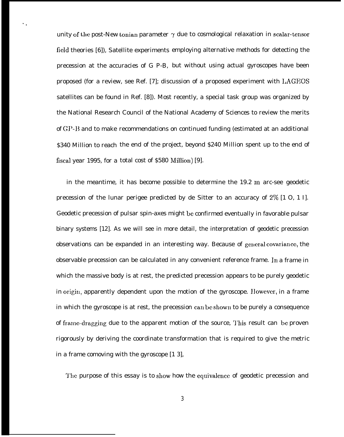unity of the post-New tonian parameter  $\gamma$  due to cosmological relaxation in scalar-tensor field theories [6]), Satellite experiments employing alternative methods for detecting the precession at the accuracies of G P-B, but without using actual gyroscopes have been proposed (for a review, see Ref. [7]; discussion of a proposed experiment with I.AGEOS satellites can be found in Ref. [8]). Most recently, a special task group was organized by the National Research Council of the National Academy of Sciences to review the merits of GP-13 and to make recommendations on continued funding (estimated at an additional \$340 Million to reach the end of the project, beyond \$240 Million spent up to the end of fiscal year 1995, for a total cost of \$580 Million) [9].

'.

in the meantime, it has become possible to determine the  $19.2 \text{ m}$  arc-see geodetic precession of the lunar perigee predicted by de Sitter to an accuracy of 2% [1 O, 1 I]. Geodetic precession of pulsar spin-axes might be confirmed eventually in favorable pulsar binary systems [12]. As we will see in more detail, the interpretation of geodetic precession observations can be expanded in an interesting way. Because of general covariance, the observable precession can be calculated in any convenient reference frame. In a frame in which the massive body is at rest, the predicted precession appears to be purely geodetic in origin, apparently dependent upon the motion of the gyroscope. However, in a frame in which the gyroscope is at rest, the precession can be shown to be purely a consequence of frame-dragging due to the apparent motion of the source, This result can be proven rigorously by deriving the coordinate transformation that is required to give the metric in a frame comoving with the gyroscope [1 3],

The purpose of this essay is to show how the equivalence of geodetic precession and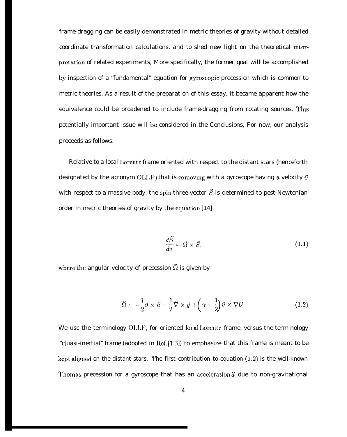frame-dragging can be easily demonstrated in metric theories of gravity without detailed coordinate transformation calculations, and to shed new light on the theoretical interpretation of related experiments, More specifically, the former goal will be accomplished by inspection of a "fundamental" equation for gyroscopic precession which is common to metric theories, As a result of the preparation of this essay, it became apparent how the equivalence could be broadened to include frame-dragging from rotating sources. '1'his potentially important issue will be considered in the Conclusions, For now, our analysis proceeds as follows.

Relative to a local Lorentz frame oriented with respect to the distant stars (henceforth designated by the acronym OLI<sub>J</sub>F) that is comoving with a gyroscope having a velocity  $\vec{v}$ with respect to a massive body, the spin three-vector  $\vec{S}$  is determined to post-Newtonian order in metric theories of gravity by the equation [14]

$$
\frac{d\vec{S}}{d\tau} = \vec{\Omega} \times \vec{S},\tag{1.1}
$$

where the angular velocity of precession  $\vec{\Omega}$  is given by

$$
\vec{\Omega} = -\frac{1}{2}\vec{v} \times \vec{a} - \frac{1}{2}\vec{\nabla} \times \vec{g} + \left(\gamma + \frac{1}{2}\right)\vec{v} \times \nabla U, \qquad (1.2)
$$

We usc the terminology OLLF, for oriented local Lorentz frame, versus the terminology "c]uasi-inertial" frame (adopted in Ref. [] 3]) to emphasize that this frame is meant to be kept aligned on the distant stars. The first contribution to equation  $(1.2)$  is the well-known Thomas precession for a gyroscope that has an acceleration  $\vec{a}$  due to non-gravitational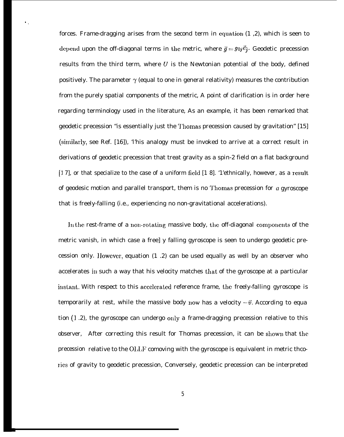forces. Frame-dragging arises from the second term in equation  $(1, 2)$ , which is seen to depend upon the off-diagonal terms in the metric, where  $\vec{q} = g_0 j \vec{e}_i$ . Geodetic precession results from the third term, where  $U$  is the Newtonian potential of the body, defined positively. The parameter  $\gamma$  (equal to one in general relativity) measures the contribution from the purely spatial components of the metric, A point of clarification is in order here regarding terminology used in the literature, As an example, it has been remarked that geodetic precession "is essentially just the '1'homas precession caused by gravitation" [15] (sitnilarly, see Ref. [16]), 'l'his analogy must be invoked to arrive at a correct result in derivations of geodetic precession that treat gravity as a spin-2 field on a flat background [1 7], or that specialize to the case of a uniform field [1 8]. '1'ethnically, however, as a result of geodesic motion and parallel transport, them is no '1'homas precession for *a* gyroscope that is freely-falling (i.e., experiencing no non-gravitational accelerations).

".

In the rest-frame of a non-rotating massive body, the off-diagonal components of the metric vanish, in which case a free] y falling gyroscope is seen to undergo geodetic precession only. IIowever, equation (1 .2) can be used equally as well by an observer who accelerates in such a way that his velocity matches that of the gyroscope at a particular instant. With respect to this accelerated reference frame, the freely-falling gyroscope is temporarily at rest, while the massive body now has a velocity  $-\vec{v}$ . According to equa tion (1.2), the gyroscope can undergo only a frame-dragging precession relative to this observer, After correcting this result for Thomas precession, it can be shown that the precession relative to the OLLF comoving with the gyroscope is equivalent in metric thcories of gravity to geodetic precession, Conversely, geodetic precession can be interpreted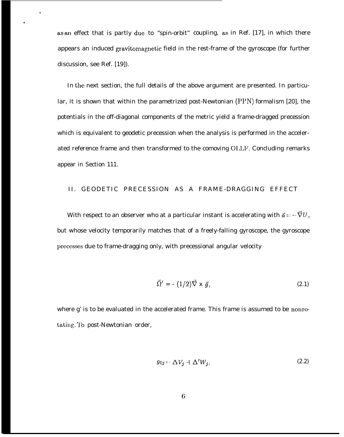as an effect that is partly duc to "spin-orbit" coupling, as in Ref. [17], in which there appears an induced gravitomagnctic field in the rest-frame of the gyroscope (for further discussion, see Ref. [19]).

.

\*

In the next section, the full details of the above argument are presented. In particular, it is shown that within the parametrized post-Newtonian (PPN) formalism [20], the potentials in the off-diagonal components of the metric yield a frame-dragged precession which is equivalent to geodetic precession when the analysis is performed in the accelerated reference frame and then transformed to the comoving O1,LF, Concluding remarks appear in Section 111.

### II. GEODETIC PRECESSION AS A FRAME-DRAGGING EFFECT

With respect to an observer who at a particular instant is accelerating with  $\vec{a} = -\vec{\nabla}U$ , but whose velocity temporarily matches that of a freely-falling gyroscope, the gyroscope precesses due to frame-dragging only, with precessional angular velocity

$$
\vec{\Omega}' = - (1/2)\vec{\nabla} \times \vec{g}, \qquad (2.1)
$$

where g' is to be evaluated in the accelerated frame. This frame is assumed to be nonrotating. To post-Newtonian order,

$$
g_{0j} = \Delta V_j + \Delta' W_j, \qquad (2.2)
$$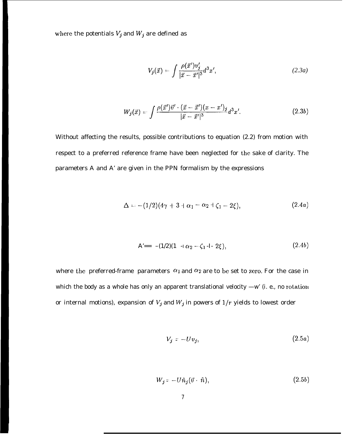where the potentials  $V_j$  and  $W_j$  are defined as

$$
V_j(\vec{x}) = \int \frac{\rho(\vec{x}')v_j'}{|\vec{x} - \vec{x}'|^3} d^3x',\tag{2.3a}
$$

$$
W_j(\vec{x}) = \int \frac{\rho(\vec{x}')\vec{v}' \cdot (\vec{x} - \vec{x}') (x - x')_j}{|\vec{x} - \vec{x}'|^3} d^3 x'. \tag{2.3b}
$$

Without affecting the results, possible contributions to equation (2.2) from motion with respect to a preferred reference frame have been neglected for the sake of clarity. The parameters A and A' are given in the PPN formalism by the expressions

$$
\Delta = -(1/2)(4\gamma+3+\alpha_1-\alpha_2+\zeta_1-2\xi), \qquad (2.4a)
$$

$$
A' == -(1/2)(1 -I \alpha_2 - \zeta_1 -I - 2\xi), \qquad (2.4b)
$$

where the preferred-frame parameters  $\alpha_1$  and  $\alpha_2$  are to be set to zero. For the case in which the body as a whole has only an apparent translational velocity —w' (i. e., no rotation or internal motions), expansion of  $V_j$  and  $W_j$  in powers of  $1/r$  yields to lowest order

$$
V_j = -Uv_j,\tag{2.5a}
$$

$$
W_j = -U\hat{n}_j(\vec{v} \cdot \hat{n}),\tag{2.5b}
$$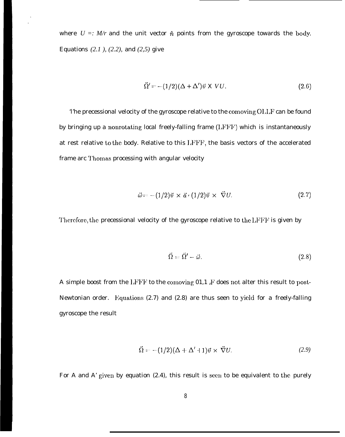where  $U =: M/r$  and the unit vector  $\hat{n}$  points from the gyroscope towards the body. Equations *(2.1 ), (2.2),* and *(2,5)* give

$$
\vec{\Omega}' = -(1/2)(\Delta + \Delta')\vec{v} \times VU.
$$
\n(2.6)

'l'he precessional velocity of the gyroscope relative to the comoving OI,LF can be found by bringing up a nonrotating local freely-falling frame (LFFF) which is instantaneously at rest relative to the body. Relative to this LFFF, the basis vectors of the accelerated frame arc Thomas processing with angular velocity

$$
\vec{\omega} = -(1/2)\vec{v} \times \vec{a} \cdot (1/2)\vec{v} \times \vec{\nabla}U. \tag{2.7}
$$

Therefore, the precessional velocity of the gyroscope relative to the LFFF is given by

$$
\vec{\Omega} = \vec{\Omega}' - \vec{\omega}.\tag{2.8}
$$

A simple boost from the  $1$ , $F$  I<sup>t</sup> to the comoving 01,1  $F$  does not alter this result to post-Newtonian order. Equations (2.7) and (2.8) are thus seen to yield for a freely-falling gyroscope the result

$$
\vec{\Omega} = -(1/2)(\Delta + \Delta' + 1)\vec{v} \times \vec{\nabla}U.
$$
 (2.9)

For A and A' given by equation  $(2.4)$ , this result is seen to be equivalent to the purely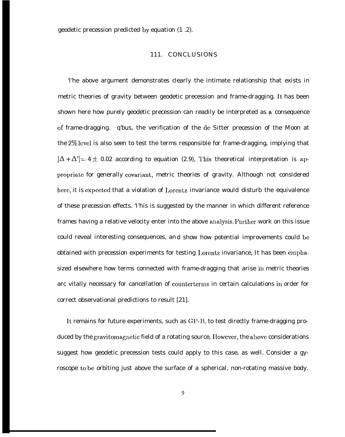geodetic precession predicted by equation (1 .2).

#### 111. CONCLUSIONS

'l'he above argument demonstrates clearly the intimate relationship that exists in metric theories of gravity between geodetic precession and frame-dragging. It has been shown here how purely geodetic precession can readily be interpreted as a consequence of frame-dragging. q'bus, the verification of the dc Sitter precession of the Moon at the  $2\%$  level is also seen to test the terms responsible for frame-dragging, implying that  $|\Delta + \Delta'| = 4 \pm 0.02$  according to equation (2.9), This theoretical interpretation is appropriate for generally covariant, metric theories of gravity. Although not considered here, it is expected that a violation of Lorentz invariance would disturb the equivalence of these precession effects. 'I'his is suggested by the manner in which different reference frames having a relative velocity enter into the above analysis. Further work on this issue could reveal interesting consequences, and show how potential improvements could bc obtained with precession experiments for testing Lorentz invariance, It has been emphasized elsewhere how terms connected with frame-dragging that arise in metric theories arc vitally necessary for cancellation of counterterms in certain calculations in order for correct observational predictions to result [21].

It remains for future experiments, such as GP-B, to test directly frame-dragging produced by the gravitomagnetic field of a rotating source, IIowevcr, the above considerations suggest how geodetic precession tests could apply to this case, as well. Consider a gyroscope to be orbiting just above the surface of a spherical, non-rotating massive body.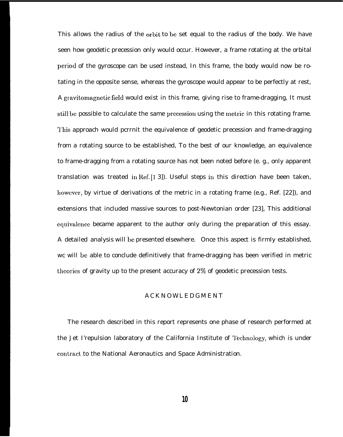This allows the radius of the orbit to bc set equal to the radius of the body. We have seen how geodetic precession only would occur. However, a frame rotating at the orbital period of the gyroscope can be used instead, In this frame, the body would now be rotating in the opposite sense, whereas the gyroscope would appear to be perfectly at rest, A gravitomagnetic field would exist in this frame, giving rise to frame-dragging, It must still be possible to calculate the same precession using the metric in this rotating frame. This approach would pcrrnit the equivalence of geodetic precession and frame-dragging from a rotating source to be established, To the best of our knowledge, an equivalence to frame-dragging from a rotating source has not been noted before (e. g., only apparent translation was treated in Ref.  $[1 3]$ ). Useful steps in this direction have been taken, however, by virtue of derivations of the metric in a rotating frame (e.g., Ref. [22]), and extensions that included massive sources to post-Newtonian order [23], This additional equivalence became apparent to the author only during the preparation of this essay. A detailed analysis will bc presented elsewhere. Once this aspect is firmly established, wc will be able to conclude definitively that frame-dragging has been verified in metric theories of gravity up to the present accuracy of  $2\%$  of geodetic precession tests.

#### **ACKNOWLEDGMENT**

The research described in this report represents one phase of research performed at the Jet I'repulsion laboratory of the California Institute of 'J'cchnology, which is under contract to the National Aeronautics and Space Administration.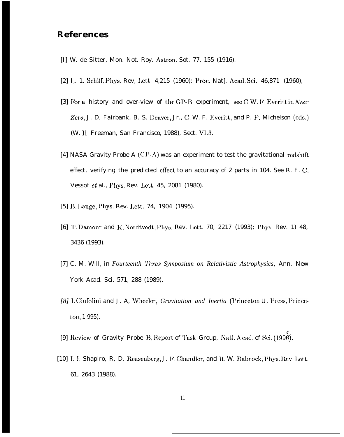# **References**

- [I] W. de Sitter, Mon. Not. Roy. Astron. Sot. 77, 155 (1916).
- [2] I,. 1. Schiff, Phys. Rev, Lett, 4,215 (1960); Proc. Nat]. Acad, Sci. 46,871 (1960),
- [3] For a history and over-view of the GP-B experiment, see C.W. F. Everitt in Near-Zero, J. D, Fairbank, B. S. Deaver, Jr., C. W. F. Everitt, and P. F. Michelson (eds.) (W. 11. Freeman, San Francisco, 1988), Sect. VI,3.
- [4] NASA Gravity Probe A (GP-A) was an experiment to test the gravitational redshift effect, verifying the predicted effect to an accuracy of 2 parts in 104. See R. F. C, Vessot et al., Phys, Rev. Lett. 45, 2081 (1980).
- [5] B. Lange, Phys. Rev. Lett. 74, 1904 (1995).
- [6] T. Damour and K. Nordtvedt, Phys. Rev. Lett. 70, 2217 (1993); Phys. Rev. 1) 48, 3436 (1993).
- [7] C. M. Will, in *Fourteenth Texas Symposium on Relativistic Astrophysics,* Ann. New York Acad. Sci. 571, 288 (1989).
- [8] I. Ciufolini and J. A, Wheeler, *Gravitation and Inertia* (Princeton U, Press, Princeton, 1 995).
- [9] Review of Gravity Probe B, Report of Task Group, Natl. A cad. of Sci. (1996).
- [10] I. I. Shapiro, R, D. Reasenberg, J. F. Chandler, and R. W. Babcock, Phys. Rev. Lett. 61, 2643 (1988).